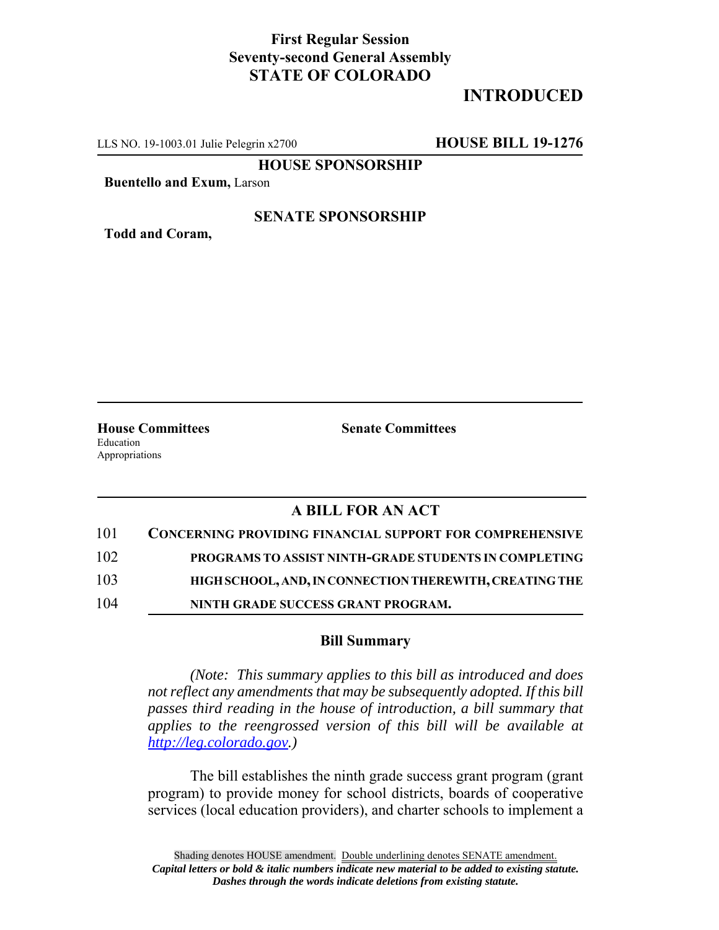## **First Regular Session Seventy-second General Assembly STATE OF COLORADO**

# **INTRODUCED**

LLS NO. 19-1003.01 Julie Pelegrin x2700 **HOUSE BILL 19-1276**

**HOUSE SPONSORSHIP**

**Buentello and Exum,** Larson

#### **SENATE SPONSORSHIP**

**Todd and Coram,**

**House Committees Senate Committees** Education Appropriations

### **A BILL FOR AN ACT**

| 101 | <b>CONCERNING PROVIDING FINANCIAL SUPPORT FOR COMPREHENSIVE</b> |
|-----|-----------------------------------------------------------------|
| 102 | PROGRAMS TO ASSIST NINTH-GRADE STUDENTS IN COMPLETING           |
| 103 | HIGH SCHOOL, AND, IN CONNECTION THEREWITH, CREATING THE         |
| 104 | NINTH GRADE SUCCESS GRANT PROGRAM.                              |

#### **Bill Summary**

*(Note: This summary applies to this bill as introduced and does not reflect any amendments that may be subsequently adopted. If this bill passes third reading in the house of introduction, a bill summary that applies to the reengrossed version of this bill will be available at http://leg.colorado.gov.)*

The bill establishes the ninth grade success grant program (grant program) to provide money for school districts, boards of cooperative services (local education providers), and charter schools to implement a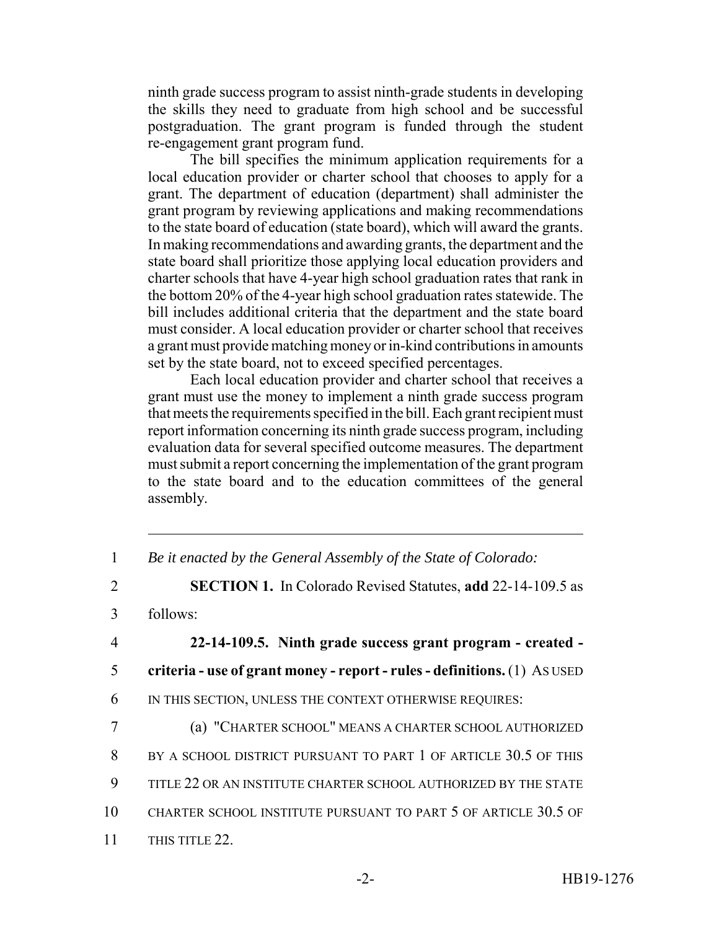ninth grade success program to assist ninth-grade students in developing the skills they need to graduate from high school and be successful postgraduation. The grant program is funded through the student re-engagement grant program fund.

The bill specifies the minimum application requirements for a local education provider or charter school that chooses to apply for a grant. The department of education (department) shall administer the grant program by reviewing applications and making recommendations to the state board of education (state board), which will award the grants. In making recommendations and awarding grants, the department and the state board shall prioritize those applying local education providers and charter schools that have 4-year high school graduation rates that rank in the bottom 20% of the 4-year high school graduation rates statewide. The bill includes additional criteria that the department and the state board must consider. A local education provider or charter school that receives a grant must provide matching money or in-kind contributions in amounts set by the state board, not to exceed specified percentages.

Each local education provider and charter school that receives a grant must use the money to implement a ninth grade success program that meets the requirements specified in the bill. Each grant recipient must report information concerning its ninth grade success program, including evaluation data for several specified outcome measures. The department must submit a report concerning the implementation of the grant program to the state board and to the education committees of the general assembly.

1 *Be it enacted by the General Assembly of the State of Colorado:*

2 **SECTION 1.** In Colorado Revised Statutes, **add** 22-14-109.5 as

3 follows:

4 **22-14-109.5. Ninth grade success grant program - created -** 5 **criteria - use of grant money - report - rules - definitions.** (1) AS USED 6 IN THIS SECTION, UNLESS THE CONTEXT OTHERWISE REQUIRES:

7 (a) "CHARTER SCHOOL" MEANS A CHARTER SCHOOL AUTHORIZED 8 BY A SCHOOL DISTRICT PURSUANT TO PART 1 OF ARTICLE 30.5 OF THIS 9 TITLE 22 OR AN INSTITUTE CHARTER SCHOOL AUTHORIZED BY THE STATE 10 CHARTER SCHOOL INSTITUTE PURSUANT TO PART 5 OF ARTICLE 30.5 OF 11 THIS TITLE 22.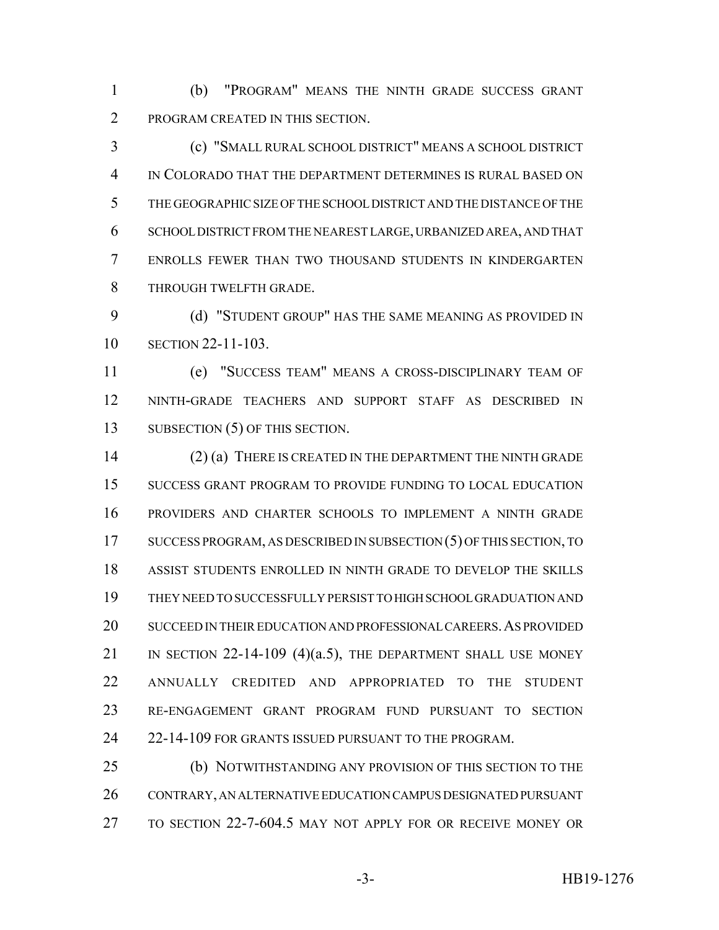(b) "PROGRAM" MEANS THE NINTH GRADE SUCCESS GRANT PROGRAM CREATED IN THIS SECTION.

 (c) "SMALL RURAL SCHOOL DISTRICT" MEANS A SCHOOL DISTRICT IN COLORADO THAT THE DEPARTMENT DETERMINES IS RURAL BASED ON THE GEOGRAPHIC SIZE OF THE SCHOOL DISTRICT AND THE DISTANCE OF THE SCHOOL DISTRICT FROM THE NEAREST LARGE, URBANIZED AREA, AND THAT ENROLLS FEWER THAN TWO THOUSAND STUDENTS IN KINDERGARTEN THROUGH TWELFTH GRADE.

9 (d) "STUDENT GROUP" HAS THE SAME MEANING AS PROVIDED IN SECTION 22-11-103.

 (e) "SUCCESS TEAM" MEANS A CROSS-DISCIPLINARY TEAM OF NINTH-GRADE TEACHERS AND SUPPORT STAFF AS DESCRIBED IN 13 SUBSECTION (5) OF THIS SECTION.

 (2) (a) THERE IS CREATED IN THE DEPARTMENT THE NINTH GRADE SUCCESS GRANT PROGRAM TO PROVIDE FUNDING TO LOCAL EDUCATION PROVIDERS AND CHARTER SCHOOLS TO IMPLEMENT A NINTH GRADE SUCCESS PROGRAM, AS DESCRIBED IN SUBSECTION (5) OF THIS SECTION, TO ASSIST STUDENTS ENROLLED IN NINTH GRADE TO DEVELOP THE SKILLS THEY NEED TO SUCCESSFULLY PERSIST TO HIGH SCHOOL GRADUATION AND SUCCEED IN THEIR EDUCATION AND PROFESSIONAL CAREERS.AS PROVIDED 21 IN SECTION 22-14-109 (4)(a.5), THE DEPARTMENT SHALL USE MONEY ANNUALLY CREDITED AND APPROPRIATED TO THE STUDENT RE-ENGAGEMENT GRANT PROGRAM FUND PURSUANT TO SECTION 24 22-14-109 FOR GRANTS ISSUED PURSUANT TO THE PROGRAM.

 (b) NOTWITHSTANDING ANY PROVISION OF THIS SECTION TO THE CONTRARY, AN ALTERNATIVE EDUCATION CAMPUS DESIGNATED PURSUANT TO SECTION 22-7-604.5 MAY NOT APPLY FOR OR RECEIVE MONEY OR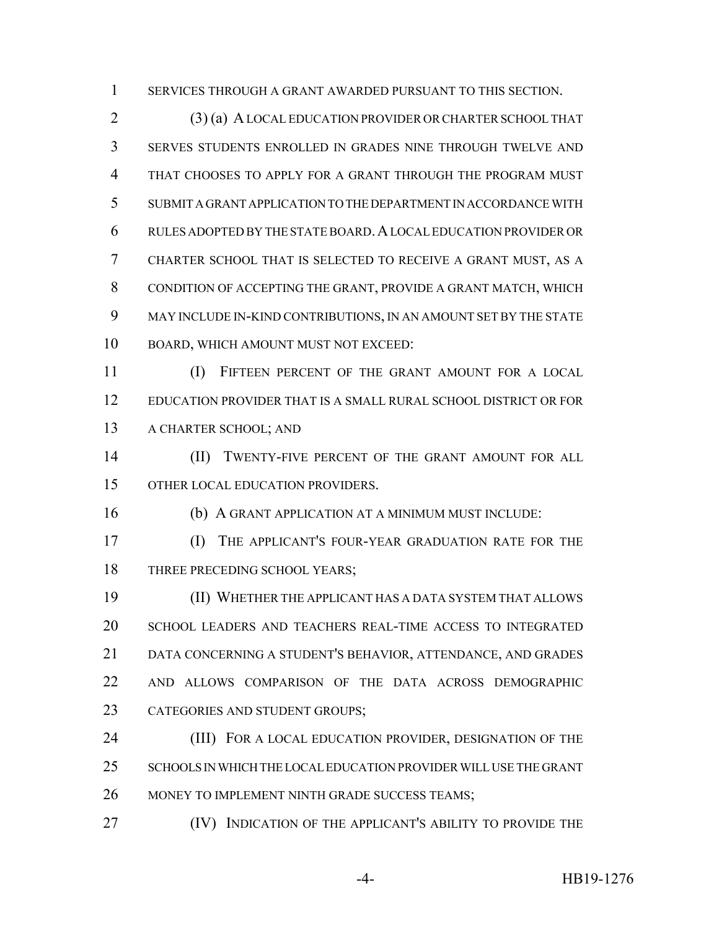SERVICES THROUGH A GRANT AWARDED PURSUANT TO THIS SECTION.

 (3) (a) A LOCAL EDUCATION PROVIDER OR CHARTER SCHOOL THAT SERVES STUDENTS ENROLLED IN GRADES NINE THROUGH TWELVE AND THAT CHOOSES TO APPLY FOR A GRANT THROUGH THE PROGRAM MUST SUBMIT A GRANT APPLICATION TO THE DEPARTMENT IN ACCORDANCE WITH RULES ADOPTED BY THE STATE BOARD.A LOCAL EDUCATION PROVIDER OR CHARTER SCHOOL THAT IS SELECTED TO RECEIVE A GRANT MUST, AS A CONDITION OF ACCEPTING THE GRANT, PROVIDE A GRANT MATCH, WHICH MAY INCLUDE IN-KIND CONTRIBUTIONS, IN AN AMOUNT SET BY THE STATE BOARD, WHICH AMOUNT MUST NOT EXCEED:

 (I) FIFTEEN PERCENT OF THE GRANT AMOUNT FOR A LOCAL EDUCATION PROVIDER THAT IS A SMALL RURAL SCHOOL DISTRICT OR FOR A CHARTER SCHOOL; AND

14 (II) TWENTY-FIVE PERCENT OF THE GRANT AMOUNT FOR ALL OTHER LOCAL EDUCATION PROVIDERS.

(b) A GRANT APPLICATION AT A MINIMUM MUST INCLUDE:

 (I) THE APPLICANT'S FOUR-YEAR GRADUATION RATE FOR THE 18 THREE PRECEDING SCHOOL YEARS;

 (II) WHETHER THE APPLICANT HAS A DATA SYSTEM THAT ALLOWS SCHOOL LEADERS AND TEACHERS REAL-TIME ACCESS TO INTEGRATED DATA CONCERNING A STUDENT'S BEHAVIOR, ATTENDANCE, AND GRADES AND ALLOWS COMPARISON OF THE DATA ACROSS DEMOGRAPHIC CATEGORIES AND STUDENT GROUPS;

**(III)** FOR A LOCAL EDUCATION PROVIDER, DESIGNATION OF THE SCHOOLS IN WHICH THE LOCAL EDUCATION PROVIDER WILL USE THE GRANT MONEY TO IMPLEMENT NINTH GRADE SUCCESS TEAMS;

**IV)** INDICATION OF THE APPLICANT'S ABILITY TO PROVIDE THE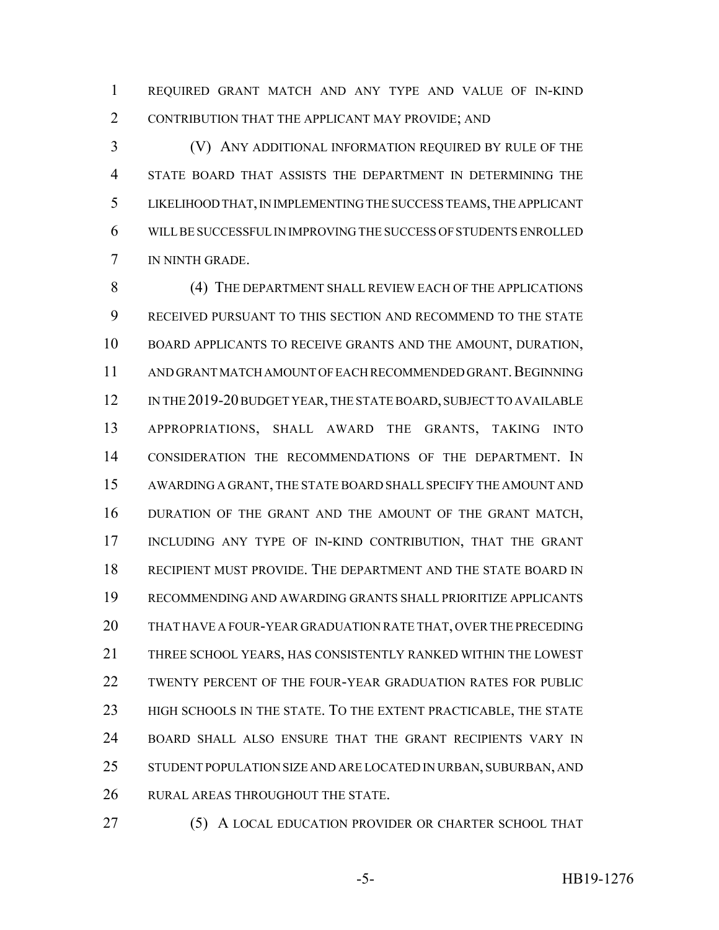REQUIRED GRANT MATCH AND ANY TYPE AND VALUE OF IN-KIND CONTRIBUTION THAT THE APPLICANT MAY PROVIDE; AND

 (V) ANY ADDITIONAL INFORMATION REQUIRED BY RULE OF THE STATE BOARD THAT ASSISTS THE DEPARTMENT IN DETERMINING THE LIKELIHOOD THAT, IN IMPLEMENTING THE SUCCESS TEAMS, THE APPLICANT WILL BE SUCCESSFUL IN IMPROVING THE SUCCESS OF STUDENTS ENROLLED IN NINTH GRADE.

8 (4) THE DEPARTMENT SHALL REVIEW EACH OF THE APPLICATIONS RECEIVED PURSUANT TO THIS SECTION AND RECOMMEND TO THE STATE BOARD APPLICANTS TO RECEIVE GRANTS AND THE AMOUNT, DURATION, 11 AND GRANT MATCH AMOUNT OF EACH RECOMMENDED GRANT. BEGINNING 12 IN THE 2019-20 BUDGET YEAR, THE STATE BOARD, SUBJECT TO AVAILABLE APPROPRIATIONS, SHALL AWARD THE GRANTS, TAKING INTO CONSIDERATION THE RECOMMENDATIONS OF THE DEPARTMENT. IN AWARDING A GRANT, THE STATE BOARD SHALL SPECIFY THE AMOUNT AND DURATION OF THE GRANT AND THE AMOUNT OF THE GRANT MATCH, INCLUDING ANY TYPE OF IN-KIND CONTRIBUTION, THAT THE GRANT RECIPIENT MUST PROVIDE. THE DEPARTMENT AND THE STATE BOARD IN RECOMMENDING AND AWARDING GRANTS SHALL PRIORITIZE APPLICANTS THAT HAVE A FOUR-YEAR GRADUATION RATE THAT, OVER THE PRECEDING THREE SCHOOL YEARS, HAS CONSISTENTLY RANKED WITHIN THE LOWEST TWENTY PERCENT OF THE FOUR-YEAR GRADUATION RATES FOR PUBLIC HIGH SCHOOLS IN THE STATE. TO THE EXTENT PRACTICABLE, THE STATE BOARD SHALL ALSO ENSURE THAT THE GRANT RECIPIENTS VARY IN STUDENT POPULATION SIZE AND ARE LOCATED IN URBAN, SUBURBAN, AND RURAL AREAS THROUGHOUT THE STATE.

27 (5) A LOCAL EDUCATION PROVIDER OR CHARTER SCHOOL THAT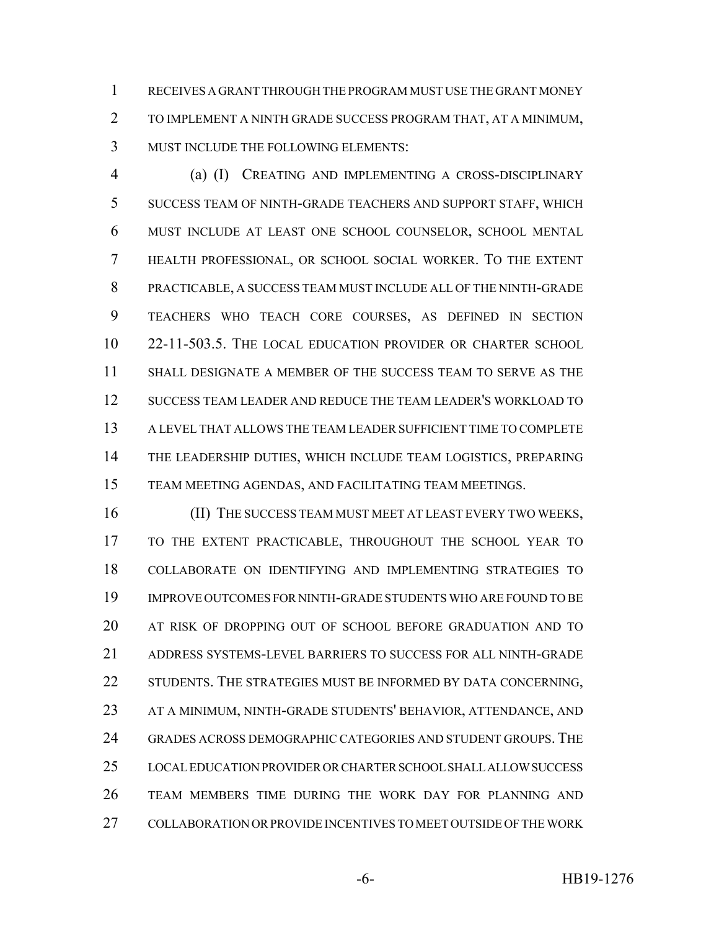RECEIVES A GRANT THROUGH THE PROGRAM MUST USE THE GRANT MONEY TO IMPLEMENT A NINTH GRADE SUCCESS PROGRAM THAT, AT A MINIMUM, MUST INCLUDE THE FOLLOWING ELEMENTS:

 (a) (I) CREATING AND IMPLEMENTING A CROSS-DISCIPLINARY SUCCESS TEAM OF NINTH-GRADE TEACHERS AND SUPPORT STAFF, WHICH MUST INCLUDE AT LEAST ONE SCHOOL COUNSELOR, SCHOOL MENTAL HEALTH PROFESSIONAL, OR SCHOOL SOCIAL WORKER. TO THE EXTENT PRACTICABLE, A SUCCESS TEAM MUST INCLUDE ALL OF THE NINTH-GRADE TEACHERS WHO TEACH CORE COURSES, AS DEFINED IN SECTION 22-11-503.5. THE LOCAL EDUCATION PROVIDER OR CHARTER SCHOOL SHALL DESIGNATE A MEMBER OF THE SUCCESS TEAM TO SERVE AS THE SUCCESS TEAM LEADER AND REDUCE THE TEAM LEADER'S WORKLOAD TO A LEVEL THAT ALLOWS THE TEAM LEADER SUFFICIENT TIME TO COMPLETE THE LEADERSHIP DUTIES, WHICH INCLUDE TEAM LOGISTICS, PREPARING TEAM MEETING AGENDAS, AND FACILITATING TEAM MEETINGS.

 (II) THE SUCCESS TEAM MUST MEET AT LEAST EVERY TWO WEEKS, TO THE EXTENT PRACTICABLE, THROUGHOUT THE SCHOOL YEAR TO COLLABORATE ON IDENTIFYING AND IMPLEMENTING STRATEGIES TO IMPROVE OUTCOMES FOR NINTH-GRADE STUDENTS WHO ARE FOUND TO BE AT RISK OF DROPPING OUT OF SCHOOL BEFORE GRADUATION AND TO ADDRESS SYSTEMS-LEVEL BARRIERS TO SUCCESS FOR ALL NINTH-GRADE 22 STUDENTS. THE STRATEGIES MUST BE INFORMED BY DATA CONCERNING, AT A MINIMUM, NINTH-GRADE STUDENTS' BEHAVIOR, ATTENDANCE, AND GRADES ACROSS DEMOGRAPHIC CATEGORIES AND STUDENT GROUPS. THE LOCAL EDUCATION PROVIDER OR CHARTER SCHOOL SHALL ALLOW SUCCESS TEAM MEMBERS TIME DURING THE WORK DAY FOR PLANNING AND COLLABORATION OR PROVIDE INCENTIVES TO MEET OUTSIDE OF THE WORK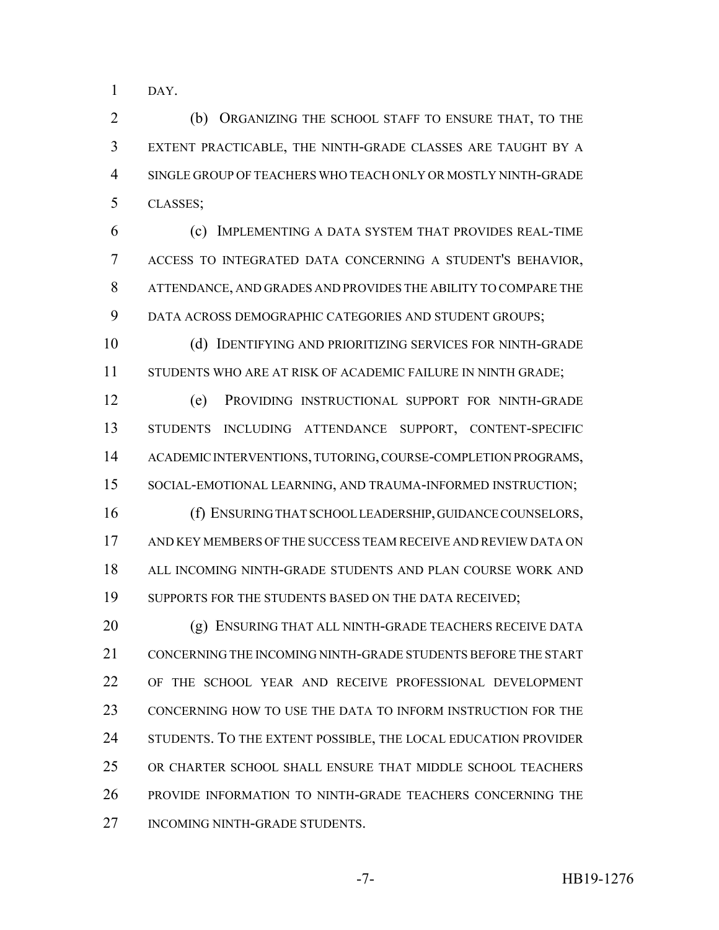DAY.

 (b) ORGANIZING THE SCHOOL STAFF TO ENSURE THAT, TO THE EXTENT PRACTICABLE, THE NINTH-GRADE CLASSES ARE TAUGHT BY A SINGLE GROUP OF TEACHERS WHO TEACH ONLY OR MOSTLY NINTH-GRADE CLASSES;

 (c) IMPLEMENTING A DATA SYSTEM THAT PROVIDES REAL-TIME ACCESS TO INTEGRATED DATA CONCERNING A STUDENT'S BEHAVIOR, ATTENDANCE, AND GRADES AND PROVIDES THE ABILITY TO COMPARE THE DATA ACROSS DEMOGRAPHIC CATEGORIES AND STUDENT GROUPS;

 (d) IDENTIFYING AND PRIORITIZING SERVICES FOR NINTH-GRADE STUDENTS WHO ARE AT RISK OF ACADEMIC FAILURE IN NINTH GRADE;

 (e) PROVIDING INSTRUCTIONAL SUPPORT FOR NINTH-GRADE STUDENTS INCLUDING ATTENDANCE SUPPORT, CONTENT-SPECIFIC 14 ACADEMIC INTERVENTIONS, TUTORING, COURSE-COMPLETION PROGRAMS, SOCIAL-EMOTIONAL LEARNING, AND TRAUMA-INFORMED INSTRUCTION;

 (f) ENSURING THAT SCHOOL LEADERSHIP, GUIDANCE COUNSELORS, AND KEY MEMBERS OF THE SUCCESS TEAM RECEIVE AND REVIEW DATA ON ALL INCOMING NINTH-GRADE STUDENTS AND PLAN COURSE WORK AND 19 SUPPORTS FOR THE STUDENTS BASED ON THE DATA RECEIVED;

 (g) ENSURING THAT ALL NINTH-GRADE TEACHERS RECEIVE DATA CONCERNING THE INCOMING NINTH-GRADE STUDENTS BEFORE THE START OF THE SCHOOL YEAR AND RECEIVE PROFESSIONAL DEVELOPMENT CONCERNING HOW TO USE THE DATA TO INFORM INSTRUCTION FOR THE 24 STUDENTS. TO THE EXTENT POSSIBLE, THE LOCAL EDUCATION PROVIDER OR CHARTER SCHOOL SHALL ENSURE THAT MIDDLE SCHOOL TEACHERS PROVIDE INFORMATION TO NINTH-GRADE TEACHERS CONCERNING THE 27 INCOMING NINTH-GRADE STUDENTS.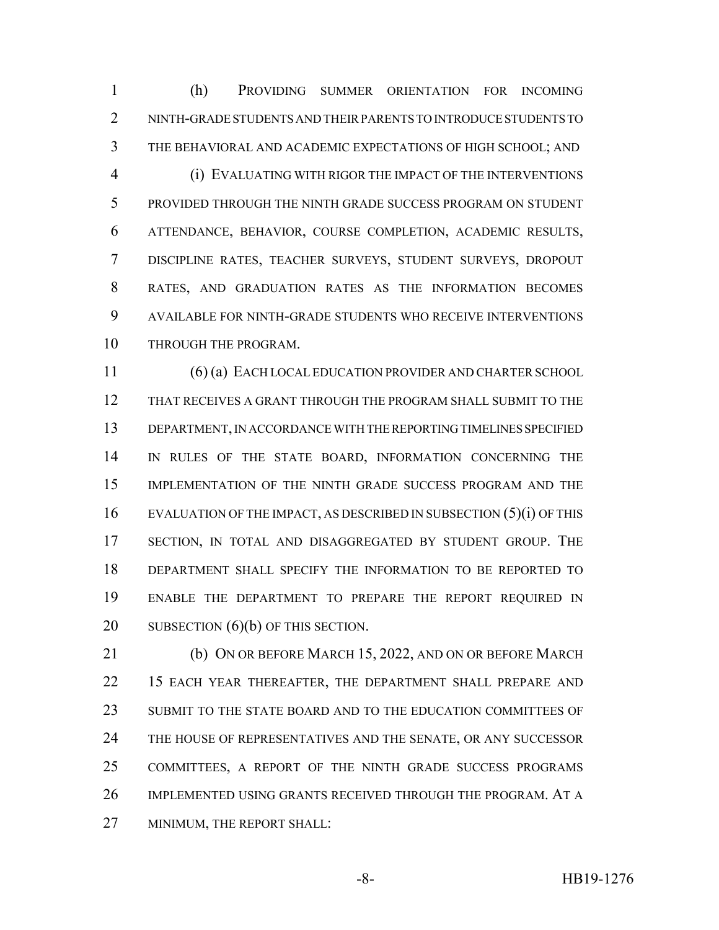(h) PROVIDING SUMMER ORIENTATION FOR INCOMING NINTH-GRADE STUDENTS AND THEIR PARENTS TO INTRODUCE STUDENTS TO THE BEHAVIORAL AND ACADEMIC EXPECTATIONS OF HIGH SCHOOL; AND (i) EVALUATING WITH RIGOR THE IMPACT OF THE INTERVENTIONS PROVIDED THROUGH THE NINTH GRADE SUCCESS PROGRAM ON STUDENT ATTENDANCE, BEHAVIOR, COURSE COMPLETION, ACADEMIC RESULTS, DISCIPLINE RATES, TEACHER SURVEYS, STUDENT SURVEYS, DROPOUT RATES, AND GRADUATION RATES AS THE INFORMATION BECOMES AVAILABLE FOR NINTH-GRADE STUDENTS WHO RECEIVE INTERVENTIONS THROUGH THE PROGRAM.

 (6) (a) EACH LOCAL EDUCATION PROVIDER AND CHARTER SCHOOL THAT RECEIVES A GRANT THROUGH THE PROGRAM SHALL SUBMIT TO THE DEPARTMENT, IN ACCORDANCE WITH THE REPORTING TIMELINES SPECIFIED IN RULES OF THE STATE BOARD, INFORMATION CONCERNING THE IMPLEMENTATION OF THE NINTH GRADE SUCCESS PROGRAM AND THE EVALUATION OF THE IMPACT, AS DESCRIBED IN SUBSECTION (5)(i) OF THIS SECTION, IN TOTAL AND DISAGGREGATED BY STUDENT GROUP. THE DEPARTMENT SHALL SPECIFY THE INFORMATION TO BE REPORTED TO ENABLE THE DEPARTMENT TO PREPARE THE REPORT REQUIRED IN 20 SUBSECTION (6)(b) OF THIS SECTION.

 (b) ON OR BEFORE MARCH 15, 2022, AND ON OR BEFORE MARCH 22 15 EACH YEAR THEREAFTER, THE DEPARTMENT SHALL PREPARE AND SUBMIT TO THE STATE BOARD AND TO THE EDUCATION COMMITTEES OF 24 THE HOUSE OF REPRESENTATIVES AND THE SENATE, OR ANY SUCCESSOR COMMITTEES, A REPORT OF THE NINTH GRADE SUCCESS PROGRAMS IMPLEMENTED USING GRANTS RECEIVED THROUGH THE PROGRAM. AT A MINIMUM, THE REPORT SHALL: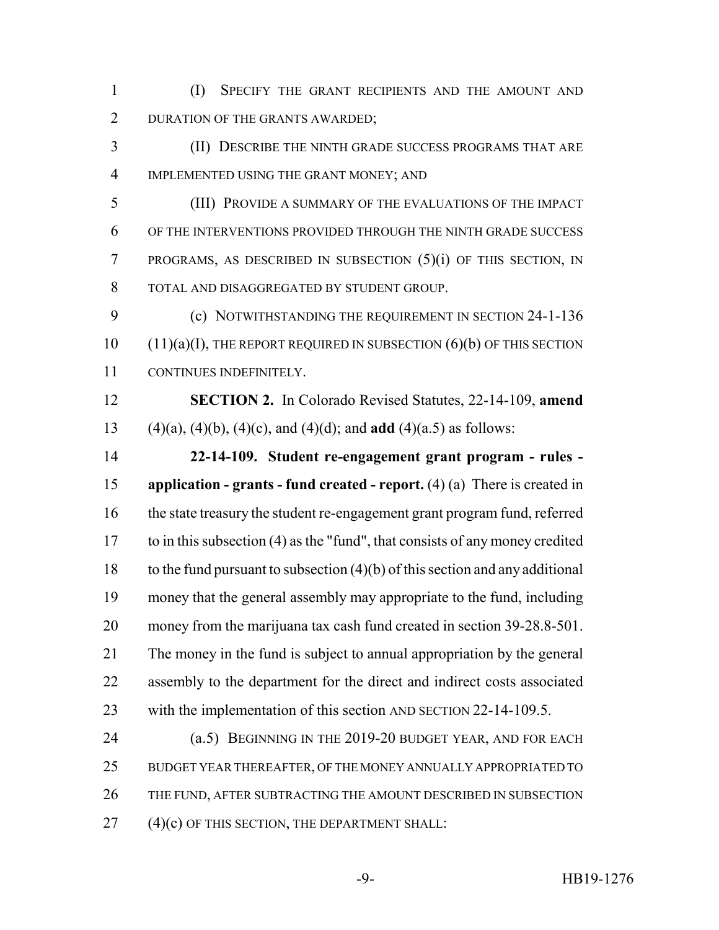(I) SPECIFY THE GRANT RECIPIENTS AND THE AMOUNT AND 2 DURATION OF THE GRANTS AWARDED;

 (II) DESCRIBE THE NINTH GRADE SUCCESS PROGRAMS THAT ARE IMPLEMENTED USING THE GRANT MONEY; AND

 (III) PROVIDE A SUMMARY OF THE EVALUATIONS OF THE IMPACT OF THE INTERVENTIONS PROVIDED THROUGH THE NINTH GRADE SUCCESS PROGRAMS, AS DESCRIBED IN SUBSECTION (5)(i) OF THIS SECTION, IN TOTAL AND DISAGGREGATED BY STUDENT GROUP.

 (c) NOTWITHSTANDING THE REQUIREMENT IN SECTION 24-1-136 (11)(a)(I), THE REPORT REQUIRED IN SUBSECTION (6)(b) OF THIS SECTION CONTINUES INDEFINITELY.

 **SECTION 2.** In Colorado Revised Statutes, 22-14-109, **amend** (4)(a), (4)(b), (4)(c), and (4)(d); and **add** (4)(a.5) as follows:

 **22-14-109. Student re-engagement grant program - rules - application - grants - fund created - report.** (4) (a) There is created in the state treasury the student re-engagement grant program fund, referred to in this subsection (4) as the "fund", that consists of any money credited 18 to the fund pursuant to subsection  $(4)(b)$  of this section and any additional money that the general assembly may appropriate to the fund, including money from the marijuana tax cash fund created in section 39-28.8-501. The money in the fund is subject to annual appropriation by the general assembly to the department for the direct and indirect costs associated with the implementation of this section AND SECTION 22-14-109.5.

 (a.5) BEGINNING IN THE 2019-20 BUDGET YEAR, AND FOR EACH BUDGET YEAR THEREAFTER, OF THE MONEY ANNUALLY APPROPRIATED TO THE FUND, AFTER SUBTRACTING THE AMOUNT DESCRIBED IN SUBSECTION (4)(c) OF THIS SECTION, THE DEPARTMENT SHALL: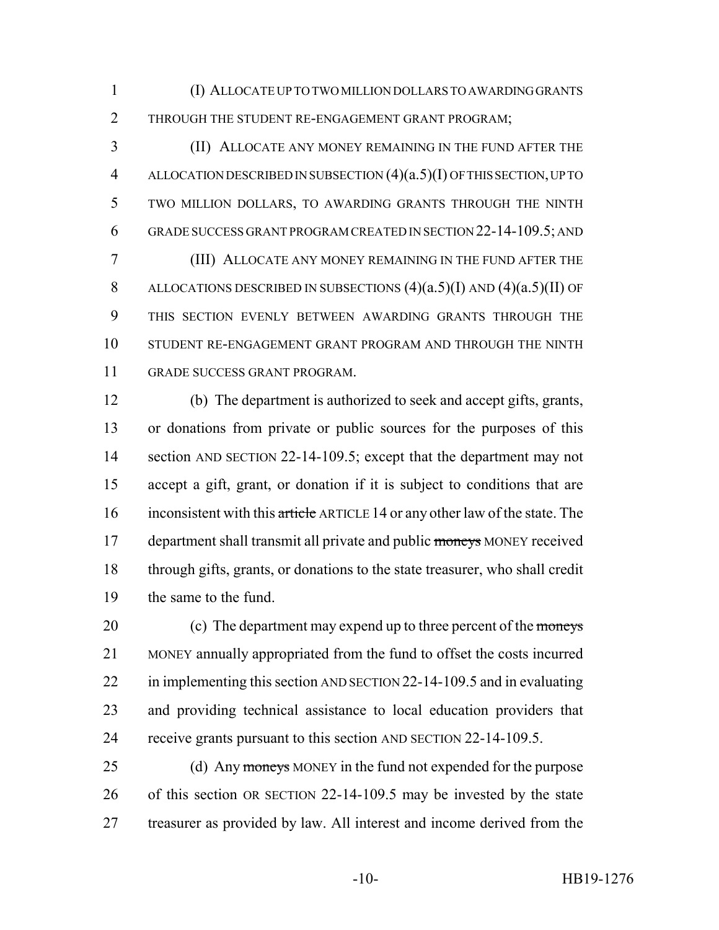(I) ALLOCATE UP TO TWO MILLION DOLLARS TO AWARDING GRANTS THROUGH THE STUDENT RE-ENGAGEMENT GRANT PROGRAM;

 (II) ALLOCATE ANY MONEY REMAINING IN THE FUND AFTER THE ALLOCATION DESCRIBED IN SUBSECTION (4)(a.5)(I) OF THIS SECTION, UP TO TWO MILLION DOLLARS, TO AWARDING GRANTS THROUGH THE NINTH GRADE SUCCESS GRANT PROGRAM CREATED IN SECTION 22-14-109.5; AND (III) ALLOCATE ANY MONEY REMAINING IN THE FUND AFTER THE 8 ALLOCATIONS DESCRIBED IN SUBSECTIONS  $(4)(a.5)(I)$  AND  $(4)(a.5)(II)$  OF THIS SECTION EVENLY BETWEEN AWARDING GRANTS THROUGH THE STUDENT RE-ENGAGEMENT GRANT PROGRAM AND THROUGH THE NINTH GRADE SUCCESS GRANT PROGRAM.

 (b) The department is authorized to seek and accept gifts, grants, or donations from private or public sources for the purposes of this 14 section AND SECTION 22-14-109.5; except that the department may not accept a gift, grant, or donation if it is subject to conditions that are 16 inconsistent with this article ARTICLE 14 or any other law of the state. The 17 department shall transmit all private and public moneys MONEY received through gifts, grants, or donations to the state treasurer, who shall credit the same to the fund.

20 (c) The department may expend up to three percent of the moneys MONEY annually appropriated from the fund to offset the costs incurred 22 in implementing this section AND SECTION 22-14-109.5 and in evaluating and providing technical assistance to local education providers that receive grants pursuant to this section AND SECTION 22-14-109.5.

25 (d) Any moneys MONEY in the fund not expended for the purpose of this section OR SECTION 22-14-109.5 may be invested by the state treasurer as provided by law. All interest and income derived from the